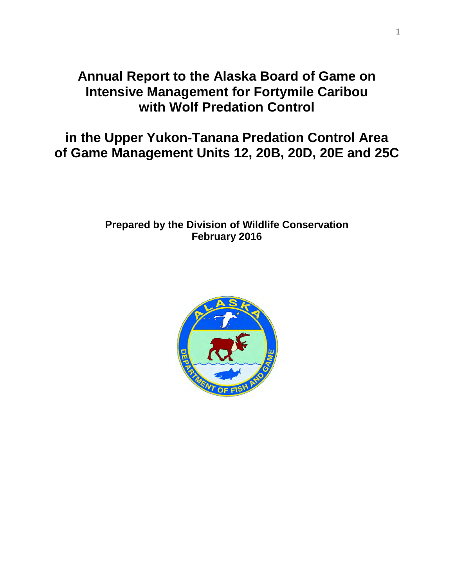# **Annual Report to the Alaska Board of Game on Intensive Management for Fortymile Caribou with Wolf Predation Control**

**in the Upper Yukon-Tanana Predation Control Area of Game Management Units 12, 20B, 20D, 20E and 25C** 

# **Prepared by the Division of Wildlife Conservation February 2016**

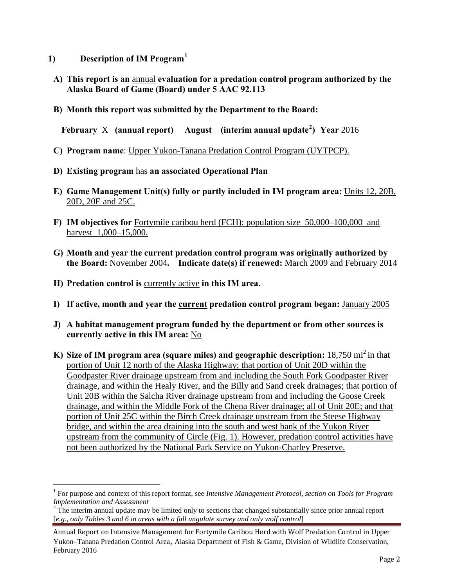- **1) Description of IM Program[1](#page-1-0)**
- **A) This report is an** annual **evaluation for a predation control program authorized by the Alaska Board of Game (Board) under 5 AAC 92.113**
- **B) Month this report was submitted by the Department to the Board:**

**February X** (annual report) August (interim annual update<sup>[2](#page-1-1)</sup>) Year 2016

- **C) Program name**: Upper Yukon-Tanana Predation Control Program (UYTPCP).
- **D) Existing program** has **an associated Operational Plan**
- **E) Game Management Unit(s) fully or partly included in IM program area:** Units 12, 20B, 20D, 20E and 25C.
- **F) IM objectives for** Fortymile caribou herd (FCH): population size 50,000–100,000 and harvest 1,000–15,000.
- **G) Month and year the current predation control program was originally authorized by the Board:** November 2004**. Indicate date(s) if renewed:** March 2009 and February 2014
- **H) Predation control is** currently active **in this IM area**.
- **I) If active, month and year the current predation control program began:** January 2005
- **J) A habitat management program funded by the department or from other sources is currently active in this IM area:** No
- **K)** Size of IM program area (square miles) and geographic description: 18,750 mi<sup>2</sup> in that portion of Unit 12 north of the Alaska Highway; that portion of Unit 20D within the Goodpaster River drainage upstream from and including the South Fork Goodpaster River drainage, and within the Healy River, and the Billy and Sand creek drainages; that portion of Unit 20B within the Salcha River drainage upstream from and including the Goose Creek drainage, and within the Middle Fork of the Chena River drainage; all of Unit 20E; and that portion of Unit 25C within the Birch Creek drainage upstream from the Steese Highway bridge, and within the area draining into the south and west bank of the Yukon River upstream from the community of Circle (Fig. 1). However, predation control activities have not been authorized by the National Park Service on Yukon-Charley Preserve.

<span id="page-1-0"></span><sup>&</sup>lt;sup>1</sup> For purpose and context of this report format, see *Intensive Management Protocol, section on Tools for Program Implementation and Assessment*  $\overline{a}$ 

<span id="page-1-1"></span><sup>&</sup>lt;sup>2</sup> The interim annual update may be limited only to sections that changed substantially since prior annual report [*e.g., only Tables 3 and 6 in areas with a fall ungulate survey and only wolf control*]

Annual Report on Intensive Management for Fortymile Caribou Herd with Wolf Predation Control in Upper Yukon–Tanana Predation Control Area, Alaska Department of Fish & Game, Division of Wildlife Conservation, February 2016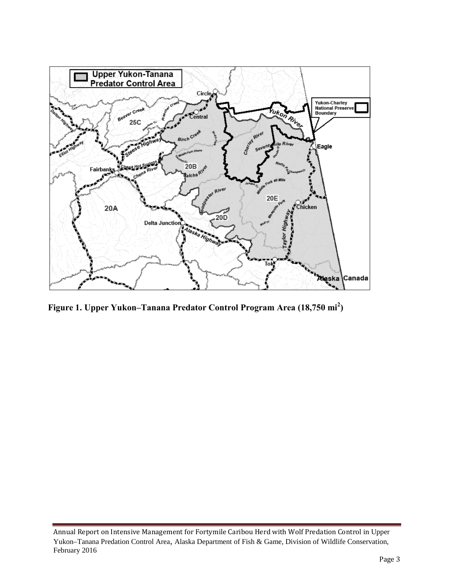

**Figure 1. Upper Yukon–Tanana Predator Control Program Area (18,750 mi<sup>2</sup> )** 

Annual Report on Intensive Management for Fortymile Caribou Herd with Wolf Predation Control in Upper Yukon–Tanana Predation Control Area, Alaska Department of Fish & Game, Division of Wildlife Conservation, February 2016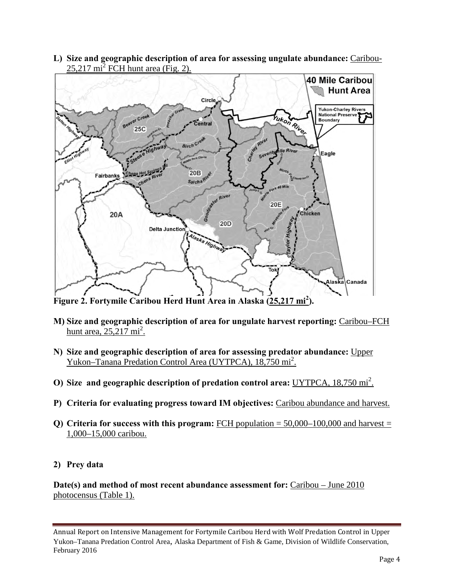**L) Size and geographic description of area for assessing ungulate abundance:** Caribou- $25,217 \text{ mi}^2$  FCH hunt area (Fig. 2).



**Figure 2. Fortymile Caribou Herd Hunt Area in Alaska (25,217 mi<sup>2</sup> ).**

- **M) Size and geographic description of area for ungulate harvest reporting:** Caribou–FCH hunt area,  $25,217 \text{ mi}^2$ .
- **N) Size and geographic description of area for assessing predator abundance:** Upper Yukon–Tanana Predation Control Area (UYTPCA), 18,750 mi<sup>2</sup>.
- **O)** Size and geographic description of predation control area: UYTPCA, 18,750 mi<sup>2</sup>.
- **P) Criteria for evaluating progress toward IM objectives:** Caribou abundance and harvest.
- **Q)** Criteria for success with this program: FCH population  $= 50,000-100,000$  and harvest  $=$ 1,000–15,000 caribou.
- **2) Prey data**

**Date(s) and method of most recent abundance assessment for:** Caribou – June 2010 photocensus (Table 1).

Annual Report on Intensive Management for Fortymile Caribou Herd with Wolf Predation Control in Upper Yukon–Tanana Predation Control Area, Alaska Department of Fish & Game, Division of Wildlife Conservation, February 2016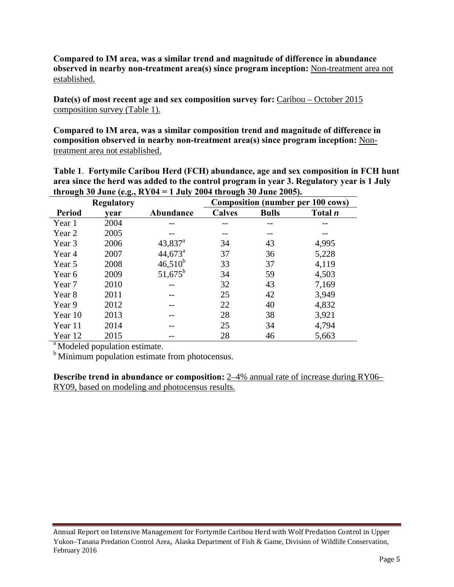**Compared to IM area, was a similar trend and magnitude of difference in abundance observed in nearby non-treatment area(s) since program inception:** Non-treatment area not established.

**Date(s) of most recent age and sex composition survey for:** Caribou – October 2015 composition survey (Table 1).

**Compared to IM area, was a similar composition trend and magnitude of difference in composition observed in nearby non-treatment area(s) since program inception:** Nontreatment area not established.

**Table 1**. **Fortymile Caribou Herd (FCH) abundance, age and sex composition in FCH hunt area since the herd was added to the control program in year 3. Regulatory year is 1 July through 30 June (e.g., RY04 = 1 July 2004 through 30 June 2005).**

| <b>Regulatory</b> |      |                  | <b>Composition (number per 100 cows)</b> |              |                |  |  |
|-------------------|------|------------------|------------------------------------------|--------------|----------------|--|--|
| <b>Period</b>     | vear | Abundance        | <b>Calves</b>                            | <b>Bulls</b> | Total <i>n</i> |  |  |
| Year 1            | 2004 | --               | --                                       | --           |                |  |  |
| Year 2            | 2005 |                  |                                          |              |                |  |  |
| Year 3            | 2006 | $43,837^{\rm a}$ | 34                                       | 43           | 4,995          |  |  |
| Year 4            | 2007 | $44,673^{\circ}$ | 37                                       | 36           | 5,228          |  |  |
| Year 5            | 2008 | $46,510^{b}$     | 33                                       | 37           | 4,119          |  |  |
| Year 6            | 2009 | $51,675^b$       | 34                                       | 59           | 4,503          |  |  |
| Year 7            | 2010 |                  | 32                                       | 43           | 7,169          |  |  |
| Year 8            | 2011 |                  | 25                                       | 42           | 3,949          |  |  |
| Year 9            | 2012 |                  | 22                                       | 40           | 4,832          |  |  |
| Year 10           | 2013 |                  | 28                                       | 38           | 3,921          |  |  |
| Year 11           | 2014 |                  | 25                                       | 34           | 4,794          |  |  |
| Year 12           | 2015 |                  | 28                                       | 46           | 5,663          |  |  |

 $\alpha$ <sup>a</sup> Modeled population estimate.

<sup>b</sup> Minimum population estimate from photocensus.

**Describe trend in abundance or composition:** 2–4% annual rate of increase during RY06– RY09, based on modeling and photocensus results.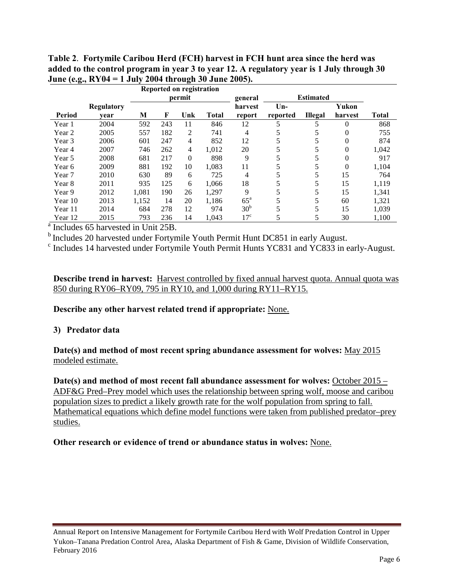|                                                 |            |        |     | Reported on registration |              |                  |          |                |              |              |
|-------------------------------------------------|------------|--------|-----|--------------------------|--------------|------------------|----------|----------------|--------------|--------------|
|                                                 |            | permit |     |                          | general      | <b>Estimated</b> |          |                |              |              |
|                                                 | Regulatory |        |     |                          |              | harvest          | $Un-$    |                | Yukon        |              |
| Period                                          | vear       | М      | F   | Unk                      | <b>Total</b> | report           | reported | <b>Illegal</b> | harvest      | <b>Total</b> |
| Year 1                                          | 2004       | 592    | 243 | 11                       | 846          | 12               |          |                | 0            | 868          |
| Year 2                                          | 2005       | 557    | 182 | 2                        | 741          | 4                | 5        | 5              | 0            | 755          |
| Year 3                                          | 2006       | 601    | 247 | $\overline{4}$           | 852          | 12               |          |                | 0            | 874          |
| Year 4                                          | 2007       | 746    | 262 | 4                        | 1.012        | 20               |          | 5              | $\mathbf{0}$ | 1,042        |
| Year 5                                          | 2008       | 681    | 217 | $\overline{0}$           | 898          | 9                |          | 5              | 0            | 917          |
| Year 6                                          | 2009       | 881    | 192 | 10                       | 1,083        | 11               |          |                | $\theta$     | 1,104        |
| Year 7                                          | 2010       | 630    | 89  | 6                        | 725          | 4                |          | 5              | 15           | 764          |
| Year 8                                          | 2011       | 935    | 125 | 6                        | 1,066        | 18               |          | 5              | 15           | 1,119        |
| Year 9                                          | 2012       | 1,081  | 190 | 26                       | 1,297        | 9                |          | 5              | 15           | 1,341        |
| Year 10                                         | 2013       | 1,152  | 14  | 20                       | 1,186        | $65^{\circ}$     |          |                | 60           | 1,321        |
| Year 11                                         | 2014       | 684    | 278 | 12                       | 974          | 30 <sup>b</sup>  |          | 5              | 15           | 1,039        |
| Year 12                                         | 2015       | 793    | 236 | 14                       | 1,043        | 17 <sup>c</sup>  | 5        | 5              | 30           | 1,100        |
| <sup>a</sup> Includes 65 harvested in Unit 25B. |            |        |     |                          |              |                  |          |                |              |              |

**Table 2**. **Fortymile Caribou Herd (FCH) harvest in FCH hunt area since the herd was added to the control program in year 3 to year 12. A regulatory year is 1 July through 30 June (e.g., RY04 = 1 July 2004 through 30 June 2005).** 

 $<sup>b</sup>$  Includes 20 harvested under Fortymile Youth Permit Hunt DC851 in early August.</sup>

 $\textdegree$  Includes 14 harvested under Fortymile Youth Permit Hunts YC831 and YC833 in early-August.

**Describe trend in harvest:** Harvest controlled by fixed annual harvest quota. Annual quota was 850 during RY06–RY09, 795 in RY10, and 1,000 during RY11–RY15.

**Describe any other harvest related trend if appropriate:** None.

#### **3) Predator data**

**Date(s) and method of most recent spring abundance assessment for wolves:** May 2015 modeled estimate.

**Date(s) and method of most recent fall abundance assessment for wolves:** October 2015 – ADF&G Pred–Prey model which uses the relationship between spring wolf, moose and caribou population sizes to predict a likely growth rate for the wolf population from spring to fall. Mathematical equations which define model functions were taken from published predator–prey studies.

#### **Other research or evidence of trend or abundance status in wolves:** None.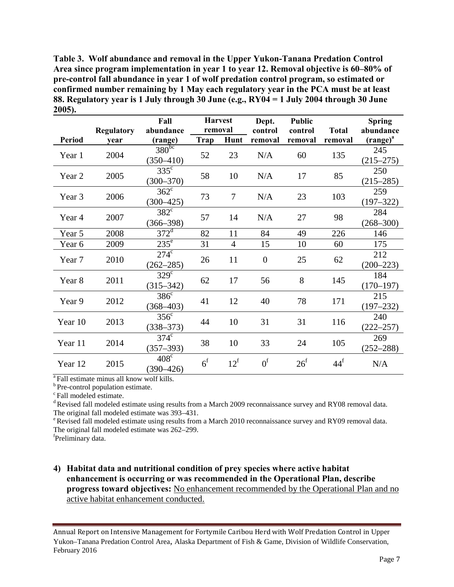**Table 3. Wolf abundance and removal in the Upper Yukon-Tanana Predation Control Area since program implementation in year 1 to year 12. Removal objective is 60–80% of pre-control fall abundance in year 1 of wolf predation control program, so estimated or confirmed number remaining by 1 May each regulatory year in the PCA must be at least 88. Regulatory year is 1 July through 30 June (e.g., RY04 = 1 July 2004 through 30 June 2005).** 

|         | <b>Regulatory</b> | Fall<br>abundance                      | <b>Harvest</b><br>removal |              | Dept.<br>control | <b>Public</b><br>control | <b>Total</b>      | <b>Spring</b><br>abundance      |
|---------|-------------------|----------------------------------------|---------------------------|--------------|------------------|--------------------------|-------------------|---------------------------------|
| Period  | year              | (range)                                | Trap                      | Hunt         | removal          | removal                  | removal           | $\left(\text{range}\right)^{a}$ |
| Year 1  | 2004              | $380^{bc}$<br>$(350 - 410)$            | 52                        | 23           | N/A              | 60                       | 135               | 245<br>$(215 - 275)$            |
| Year 2  | 2005              | $335^{\circ}$<br>$(300 - 370)$         | 58                        | 10           | N/A              | 17                       | 85                | 250<br>$(215 - 285)$            |
| Year 3  | 2006              | $362^{\circ}$<br>$(300 - 425)$         | 73                        | $\tau$       | N/A              | 23                       | 103               | 259<br>$(197 - 322)$            |
| Year 4  | 2007              | $382^{\circ}$<br>$(366 - 398)$         | 57                        | 14           | N/A              | 27                       | 98                | 284<br>$(268 - 300)$            |
| Year 5  | 2008              | $372$ <sup><math>\text{J}</math></sup> | 82                        | 11           | 84               | 49                       | 226               | 146                             |
| Year 6  | 2009              | $235^{\circ}$                          | 31                        | 4            | 15               | 10                       | 60                | 175                             |
| Year 7  | 2010              | $274^{\circ}$<br>$(262 - 285)$         | 26                        | 11           | $\overline{0}$   | 25                       | 62                | 212<br>$(200 - 223)$            |
| Year 8  | 2011              | $329^{\circ}$<br>$(315 - 342)$         | 62                        | 17           | 56               | 8                        | 145               | 184<br>$(170 - 197)$            |
| Year 9  | 2012              | $386^{\circ}$<br>$(368 - 403)$         | 41                        | 12           | 40               | 78                       | 171               | 215<br>$(197 - 232)$            |
| Year 10 | 2013              | $356^{\circ}$<br>$(338 - 373)$         | 44                        | 10           | 31               | 31                       | 116               | 240<br>$(222 - 257)$            |
| Year 11 | 2014              | $374^{\circ}$<br>$(357 - 393)$         | 38                        | 10           | 33               | 24                       | 105               | 269<br>$(252 - 288)$            |
| Year 12 | 2015              | $408^\circ$<br>$(390 - 426)$           | 6 <sup>f</sup>            | $12^{\rm f}$ | 0 <sup>f</sup>   | $26^{\rm f}$             | $44^{\mathrm{f}}$ | N/A                             |

<sup>a</sup> Fall estimate minus all know wolf kills.

 $\rm ^b$  Pre-control population estimate.  $\rm ^c$  Fall modeled estimate.

d Revised fall modeled estimate using results from a March 2009 reconnaissance survey and RY08 removal data. The original fall modeled estimate was  $393-431$ .<br><sup>e</sup> Revised fall modeled estimate using results from a March 2010 reconnaissance survey and RY09 removal data.

The original fall modeled estimate was  $262-299$ .

Preliminary data.

## **4) Habitat data and nutritional condition of prey species where active habitat enhancement is occurring or was recommended in the Operational Plan, describe progress toward objectives:** No enhancement recommended by the Operational Plan and no active habitat enhancement conducted.

Annual Report on Intensive Management for Fortymile Caribou Herd with Wolf Predation Control in Upper Yukon–Tanana Predation Control Area, Alaska Department of Fish & Game, Division of Wildlife Conservation, February 2016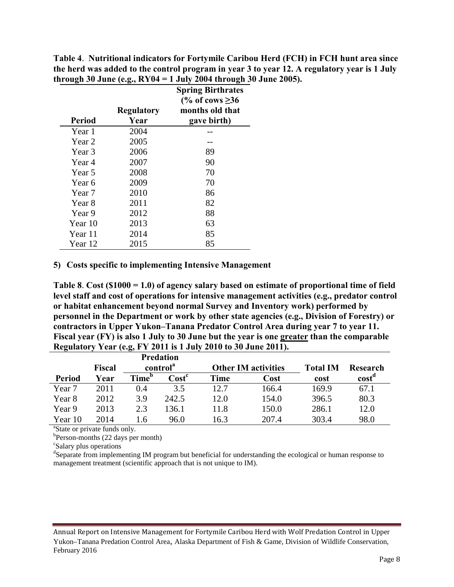**Table 4**. **Nutritional indicators for Fortymile Caribou Herd (FCH) in FCH hunt area since the herd was added to the control program in year 3 to year 12. A regulatory year is 1 July through 30 June (e.g., RY04 = 1 July 2004 through 30 June 2005).**

|                   | <b>Regulatory</b> | <b>Spring Birthrates</b><br>(% of cows $\geq 36$ )<br>months old that |
|-------------------|-------------------|-----------------------------------------------------------------------|
| <b>Period</b>     | Year              | gave birth)                                                           |
| Year 1            | 2004              |                                                                       |
| Year 2            | 2005              |                                                                       |
| Year 3            | 2006              | 89                                                                    |
| Year 4            | 2007              | 90                                                                    |
| Year 5            | 2008              | 70                                                                    |
| Year 6            | 2009              | 70                                                                    |
| Year <sub>7</sub> | 2010              | 86                                                                    |
| Year 8            | 2011              | 82                                                                    |
| Year 9            | 2012              | 88                                                                    |
| Year 10           | 2013              | 63                                                                    |
| Year 11           | 2014              | 85                                                                    |
| Year 12           | 2015              | 85                                                                    |

#### **5) Costs specific to implementing Intensive Management**

**Table 8**. **Cost (\$1000 = 1.0) of agency salary based on estimate of proportional time of field level staff and cost of operations for intensive management activities (e.g., predator control or habitat enhancement beyond normal Survey and Inventory work) performed by personnel in the Department or work by other state agencies (e.g., Division of Forestry) or contractors in Upper Yukon–Tanana Predator Control Area during year 7 to year 11. Fiscal year (FY) is also 1 July to 30 June but the year is one greater than the comparable Regulatory Year (e.g, FY 2011 is 1 July 2010 to 30 June 2011).** 

|               |        |                      | <b>Predation</b> |      |                            |                 |                   |
|---------------|--------|----------------------|------------------|------|----------------------------|-----------------|-------------------|
|               | Fiscal | control <sup>a</sup> |                  |      | <b>Other IM activities</b> | <b>Total IM</b> | Research          |
| <b>Period</b> | Year   | Time <sup>b</sup>    | $\text{Cost}^c$  | Time | Cost                       | cost            | cost <sup>a</sup> |
| Year 7        | 2011   | 0.4                  | 3.5              | 12.7 | 166.4                      | 169.9           | 67.1              |
| Year 8        | 2012   | 3.9                  | 242.5            | 12.0 | 154.0                      | 396.5           | 80.3              |
| Year 9        | 2013   | 2.3                  | 136.1            | 11.8 | 150.0                      | 286.1           | 12.0              |
| Year 10       | 2014   | .6                   | 96.0             | 16.3 | 207.4                      | 303.4           | 98.0              |

<sup>a</sup>State or private funds only.

 $b$ Person-months (22 days per month)

Salary plus operations

<sup>d</sup>Separate from implementing IM program but beneficial for understanding the ecological or human response to management treatment (scientific approach that is not unique to IM).

Annual Report on Intensive Management for Fortymile Caribou Herd with Wolf Predation Control in Upper Yukon–Tanana Predation Control Area, Alaska Department of Fish & Game, Division of Wildlife Conservation, February 2016